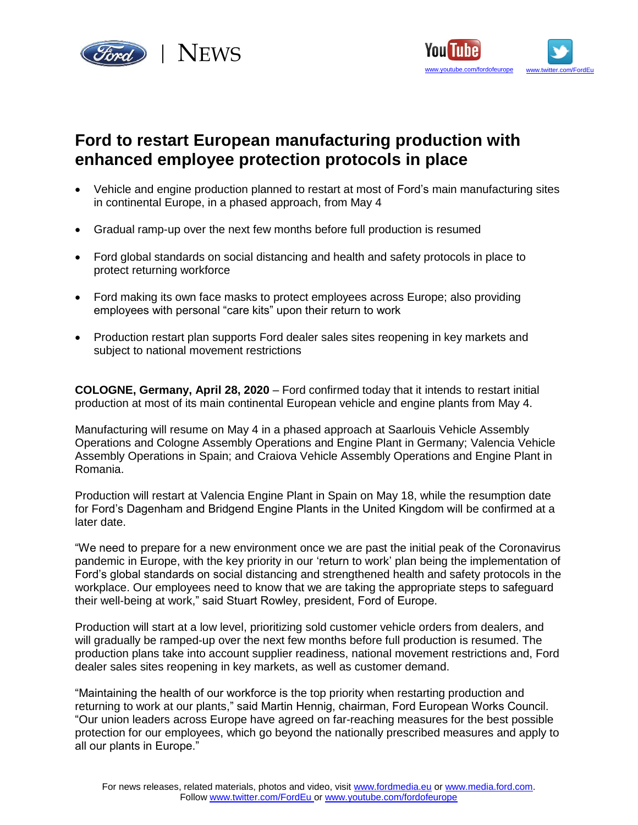



## **Ford to restart European manufacturing production with enhanced employee protection protocols in place**

- Vehicle and engine production planned to restart at most of Ford's main manufacturing sites in continental Europe, in a phased approach, from May 4
- Gradual ramp-up over the next few months before full production is resumed
- Ford global standards on social distancing and health and safety protocols in place to protect returning workforce
- Ford making its own face masks to protect employees across Europe; also providing employees with personal "care kits" upon their return to work
- Production restart plan supports Ford dealer sales sites reopening in key markets and subject to national movement restrictions

**COLOGNE, Germany, April 28, 2020** – Ford confirmed today that it intends to restart initial production at most of its main continental European vehicle and engine plants from May 4.

Manufacturing will resume on May 4 in a phased approach at Saarlouis Vehicle Assembly Operations and Cologne Assembly Operations and Engine Plant in Germany; Valencia Vehicle Assembly Operations in Spain; and Craiova Vehicle Assembly Operations and Engine Plant in Romania.

Production will restart at Valencia Engine Plant in Spain on May 18, while the resumption date for Ford's Dagenham and Bridgend Engine Plants in the United Kingdom will be confirmed at a later date.

"We need to prepare for a new environment once we are past the initial peak of the Coronavirus pandemic in Europe, with the key priority in our 'return to work' plan being the implementation of Ford's global standards on social distancing and strengthened health and safety protocols in the workplace. Our employees need to know that we are taking the appropriate steps to safeguard their well-being at work," said Stuart Rowley, president, Ford of Europe.

Production will start at a low level, prioritizing sold customer vehicle orders from dealers, and will gradually be ramped-up over the next few months before full production is resumed. The production plans take into account supplier readiness, national movement restrictions and, Ford dealer sales sites reopening in key markets, as well as customer demand.

"Maintaining the health of our workforce is the top priority when restarting production and returning to work at our plants," said Martin Hennig, chairman, Ford European Works Council. "Our union leaders across Europe have agreed on far-reaching measures for the best possible protection for our employees, which go beyond the nationally prescribed measures and apply to all our plants in Europe."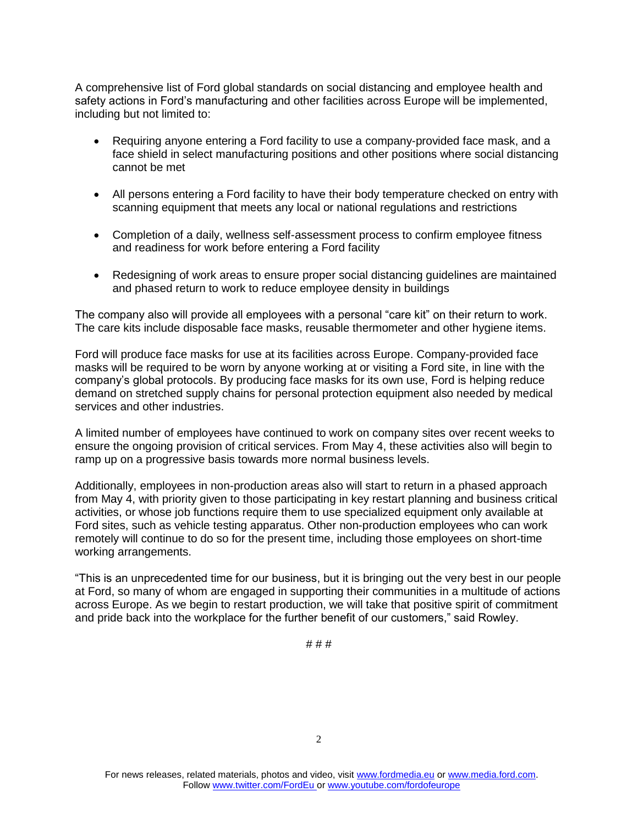A comprehensive list of Ford global standards on social distancing and employee health and safety actions in Ford's manufacturing and other facilities across Europe will be implemented, including but not limited to:

- Requiring anyone entering a Ford facility to use a company-provided face mask, and a face shield in select manufacturing positions and other positions where social distancing cannot be met
- All persons entering a Ford facility to have their body temperature checked on entry with scanning equipment that meets any local or national regulations and restrictions
- Completion of a daily, wellness self-assessment process to confirm employee fitness and readiness for work before entering a Ford facility
- Redesigning of work areas to ensure proper social distancing guidelines are maintained and phased return to work to reduce employee density in buildings

The company also will provide all employees with a personal "care kit" on their return to work. The care kits include disposable face masks, reusable thermometer and other hygiene items.

Ford will produce face masks for use at its facilities across Europe. Company-provided face masks will be required to be worn by anyone working at or visiting a Ford site, in line with the company's global protocols. By producing face masks for its own use, Ford is helping reduce demand on stretched supply chains for personal protection equipment also needed by medical services and other industries.

A limited number of employees have continued to work on company sites over recent weeks to ensure the ongoing provision of critical services. From May 4, these activities also will begin to ramp up on a progressive basis towards more normal business levels.

Additionally, employees in non-production areas also will start to return in a phased approach from May 4, with priority given to those participating in key restart planning and business critical activities, or whose job functions require them to use specialized equipment only available at Ford sites, such as vehicle testing apparatus. Other non-production employees who can work remotely will continue to do so for the present time, including those employees on short-time working arrangements.

"This is an unprecedented time for our business, but it is bringing out the very best in our people at Ford, so many of whom are engaged in supporting their communities in a multitude of actions across Europe. As we begin to restart production, we will take that positive spirit of commitment and pride back into the workplace for the further benefit of our customers," said Rowley.

# # #